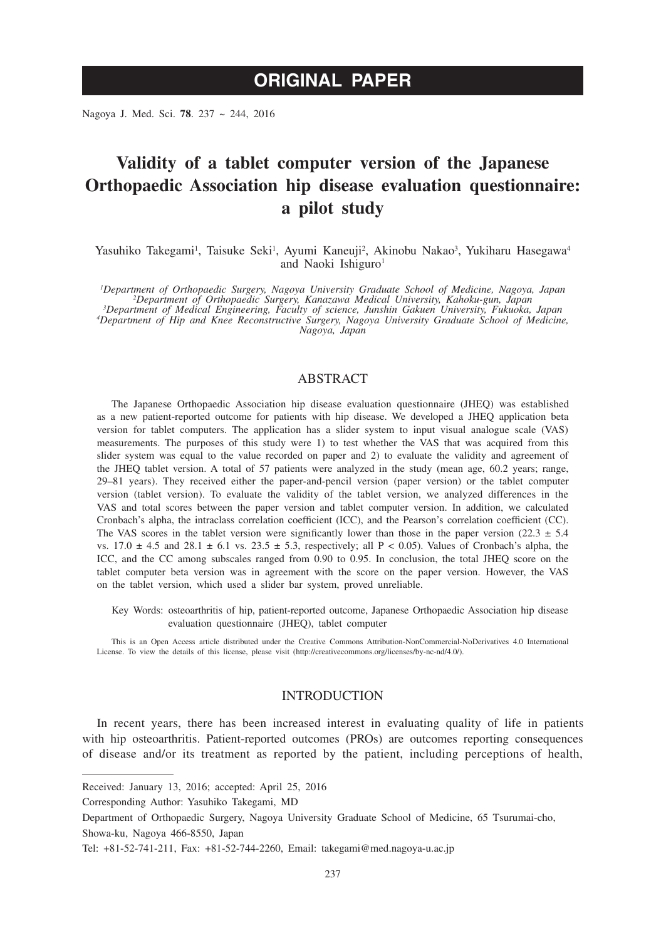# **ORIGINAL PAPER**

Nagoya J. Med. Sci. **78**. 237 ~ 244, 2016

# **Validity of a tablet computer version of the Japanese Orthopaedic Association hip disease evaluation questionnaire: a pilot study**

Yasuhiko Takegami<sup>1</sup>, Taisuke Seki<sup>1</sup>, Ayumi Kaneuji<sup>2</sup>, Akinobu Nakao<sup>3</sup>, Yukiharu Hasegawa<sup>4</sup> and Naoki Ishiguro<sup>1</sup>

*1 Department of Orthopaedic Surgery, Nagoya University Graduate School of Medicine, Nagoya, Japan <sup>2</sup>* <sup>2</sup>Department of Orthopaedic Surgery, Kanazawa Medical University, Kahoku-gun, Japan<br><sup>3</sup>Department of Medical Engineering, Faculty of science, Junshin Gakuen University, Fukuoka, Japan<br>4Department of Hip and Knee Reconstru

## ABSTRACT

The Japanese Orthopaedic Association hip disease evaluation questionnaire (JHEQ) was established as a new patient-reported outcome for patients with hip disease. We developed a JHEQ application beta version for tablet computers. The application has a slider system to input visual analogue scale (VAS) measurements. The purposes of this study were 1) to test whether the VAS that was acquired from this slider system was equal to the value recorded on paper and 2) to evaluate the validity and agreement of the JHEQ tablet version. A total of 57 patients were analyzed in the study (mean age, 60.2 years; range, 29–81 years). They received either the paper-and-pencil version (paper version) or the tablet computer version (tablet version). To evaluate the validity of the tablet version, we analyzed differences in the VAS and total scores between the paper version and tablet computer version. In addition, we calculated Cronbach's alpha, the intraclass correlation coefficient (ICC), and the Pearson's correlation coefficient (CC). The VAS scores in the tablet version were significantly lower than those in the paper version (22.3  $\pm$  5.4 vs.  $17.0 \pm 4.5$  and  $28.1 \pm 6.1$  vs.  $23.5 \pm 5.3$ , respectively; all P < 0.05). Values of Cronbach's alpha, the ICC, and the CC among subscales ranged from 0.90 to 0.95. In conclusion, the total JHEQ score on the tablet computer beta version was in agreement with the score on the paper version. However, the VAS on the tablet version, which used a slider bar system, proved unreliable.

Key Words: osteoarthritis of hip, patient-reported outcome, Japanese Orthopaedic Association hip disease evaluation questionnaire (JHEQ), tablet computer

This is an Open Access article distributed under the Creative Commons Attribution-NonCommercial-NoDerivatives 4.0 International License. To view the details of this license, please visit (http://creativecommons.org/licenses/by-nc-nd/4.0/).

#### INTRODUCTION

In recent years, there has been increased interest in evaluating quality of life in patients with hip osteoarthritis. Patient-reported outcomes (PROs) are outcomes reporting consequences of disease and/or its treatment as reported by the patient, including perceptions of health,

Received: January 13, 2016; accepted: April 25, 2016

Corresponding Author: Yasuhiko Takegami, MD

Department of Orthopaedic Surgery, Nagoya University Graduate School of Medicine, 65 Tsurumai-cho, Showa-ku, Nagoya 466-8550, Japan

Tel: +81-52-741-211, Fax: +81-52-744-2260, Email: takegami@med.nagoya-u.ac.jp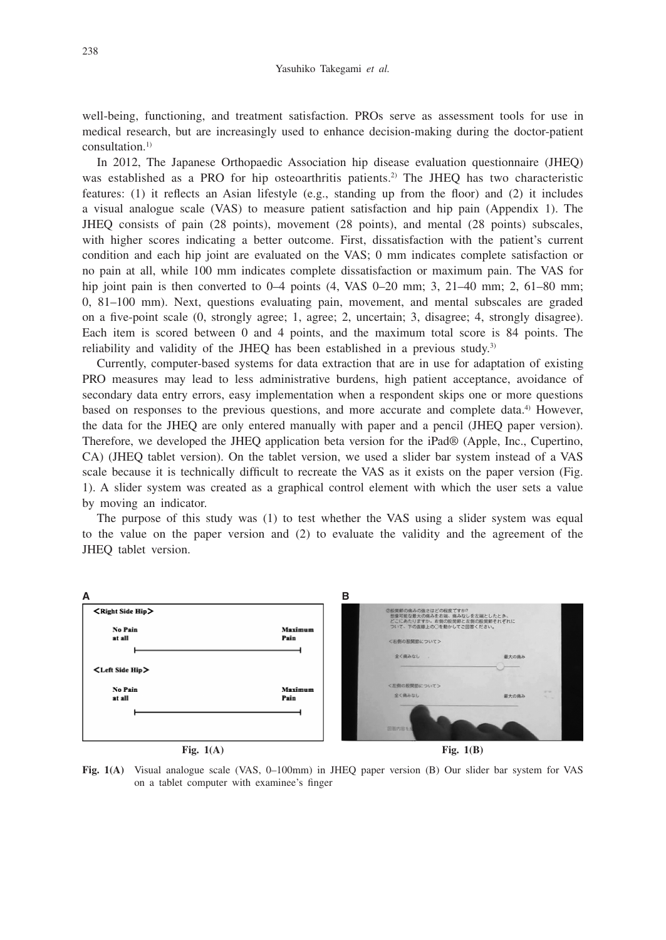well-being, functioning, and treatment satisfaction. PROs serve as assessment tools for use in medical research, but are increasingly used to enhance decision-making during the doctor-patient consultation.1)

In 2012, The Japanese Orthopaedic Association hip disease evaluation questionnaire (JHEQ) was established as a PRO for hip osteoarthritis patients.<sup>2)</sup> The JHEQ has two characteristic features: (1) it reflects an Asian lifestyle (e.g., standing up from the floor) and (2) it includes a visual analogue scale (VAS) to measure patient satisfaction and hip pain (Appendix 1). The JHEQ consists of pain (28 points), movement (28 points), and mental (28 points) subscales, with higher scores indicating a better outcome. First, dissatisfaction with the patient's current condition and each hip joint are evaluated on the VAS; 0 mm indicates complete satisfaction or no pain at all, while 100 mm indicates complete dissatisfaction or maximum pain. The VAS for hip joint pain is then converted to 0–4 points (4, VAS 0–20 mm; 3, 21–40 mm; 2, 61–80 mm; 0, 81–100 mm). Next, questions evaluating pain, movement, and mental subscales are graded on a five-point scale (0, strongly agree; 1, agree; 2, uncertain; 3, disagree; 4, strongly disagree). Each item is scored between 0 and 4 points, and the maximum total score is 84 points. The reliability and validity of the JHEQ has been established in a previous study.3)

Currently, computer-based systems for data extraction that are in use for adaptation of existing PRO measures may lead to less administrative burdens, high patient acceptance, avoidance of secondary data entry errors, easy implementation when a respondent skips one or more questions based on responses to the previous questions, and more accurate and complete data.<sup>4)</sup> However, the data for the JHEQ are only entered manually with paper and a pencil (JHEQ paper version). Therefore, we developed the JHEQ application beta version for the iPad® (Apple, Inc., Cupertino, CA) (JHEQ tablet version). On the tablet version, we used a slider bar system instead of a VAS scale because it is technically difficult to recreate the VAS as it exists on the paper version (Fig. 1). A slider system was created as a graphical control element with which the user sets a value by moving an indicator.

The purpose of this study was (1) to test whether the VAS using a slider system was equal to the value on the paper version and (2) to evaluate the validity and the agreement of the JHEQ tablet version.



**Fig. 1(A)**

**Fig. 1(B)**

**Fig. 1(A)** Visual analogue scale (VAS, 0–100mm) in JHEQ paper version (B) Our slider bar system for VAS on a tablet computer with examinee's finger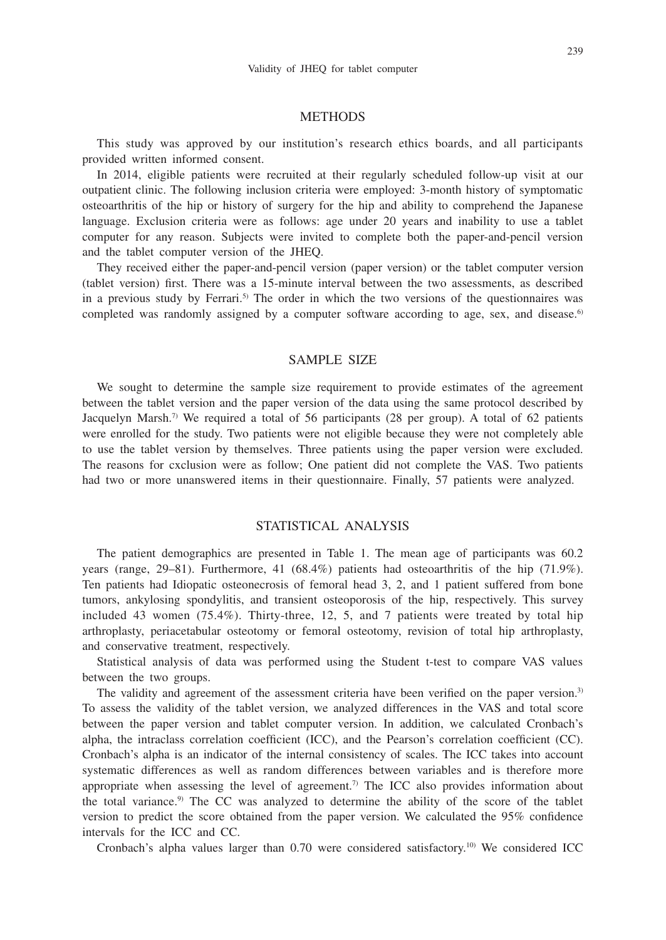#### **METHODS**

This study was approved by our institution's research ethics boards, and all participants provided written informed consent.

In 2014, eligible patients were recruited at their regularly scheduled follow-up visit at our outpatient clinic. The following inclusion criteria were employed: 3-month history of symptomatic osteoarthritis of the hip or history of surgery for the hip and ability to comprehend the Japanese language. Exclusion criteria were as follows: age under 20 years and inability to use a tablet computer for any reason. Subjects were invited to complete both the paper-and-pencil version and the tablet computer version of the JHEQ.

They received either the paper-and-pencil version (paper version) or the tablet computer version (tablet version) first. There was a 15-minute interval between the two assessments, as described in a previous study by Ferrari.<sup>5)</sup> The order in which the two versions of the questionnaires was completed was randomly assigned by a computer software according to age, sex, and disease.<sup>6)</sup>

# SAMPLE SIZE

We sought to determine the sample size requirement to provide estimates of the agreement between the tablet version and the paper version of the data using the same protocol described by Jacquelyn Marsh.<sup>7)</sup> We required a total of 56 participants (28 per group). A total of 62 patients were enrolled for the study. Two patients were not eligible because they were not completely able to use the tablet version by themselves. Three patients using the paper version were excluded. The reasons for cxclusion were as follow; One patient did not complete the VAS. Two patients had two or more unanswered items in their questionnaire. Finally, 57 patients were analyzed.

## STATISTICAL ANALYSIS

The patient demographics are presented in Table 1. The mean age of participants was 60.2 years (range, 29–81). Furthermore, 41 (68.4%) patients had osteoarthritis of the hip (71.9%). Ten patients had Idiopatic osteonecrosis of femoral head 3, 2, and 1 patient suffered from bone tumors, ankylosing spondylitis, and transient osteoporosis of the hip, respectively. This survey included 43 women (75.4%). Thirty-three, 12, 5, and 7 patients were treated by total hip arthroplasty, periacetabular osteotomy or femoral osteotomy, revision of total hip arthroplasty, and conservative treatment, respectively.

Statistical analysis of data was performed using the Student t-test to compare VAS values between the two groups.

The validity and agreement of the assessment criteria have been verified on the paper version.<sup>3)</sup> To assess the validity of the tablet version, we analyzed differences in the VAS and total score between the paper version and tablet computer version. In addition, we calculated Cronbach's alpha, the intraclass correlation coefficient (ICC), and the Pearson's correlation coefficient (CC). Cronbach's alpha is an indicator of the internal consistency of scales. The ICC takes into account systematic differences as well as random differences between variables and is therefore more appropriate when assessing the level of agreement.<sup>7)</sup> The ICC also provides information about the total variance.<sup>9)</sup> The CC was analyzed to determine the ability of the score of the tablet version to predict the score obtained from the paper version. We calculated the 95% confidence intervals for the ICC and CC.

Cronbach's alpha values larger than 0.70 were considered satisfactory.10) We considered ICC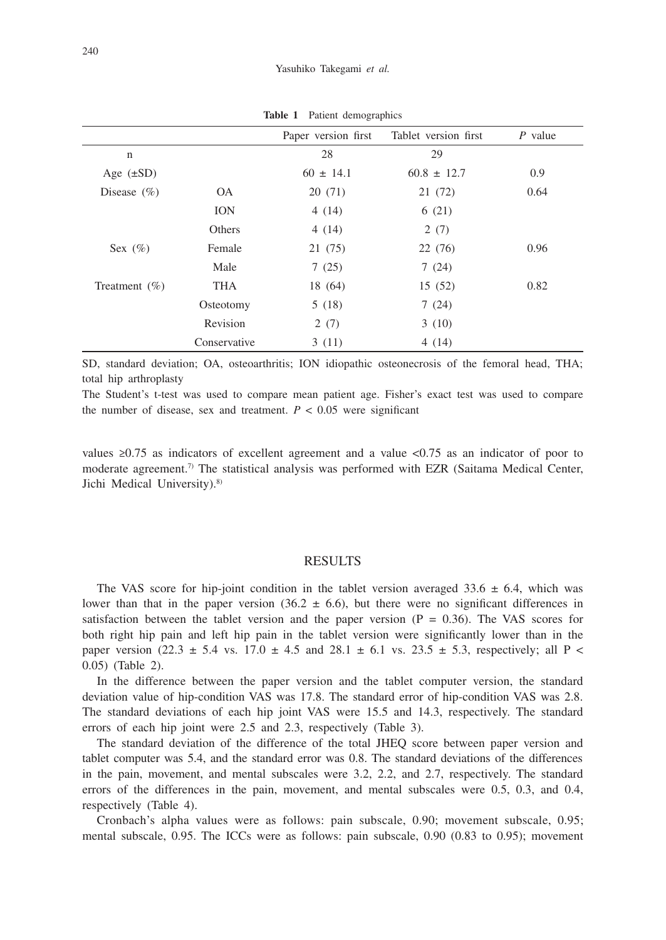|                   |              | Paper version first | Tablet version first | $P$ value |
|-------------------|--------------|---------------------|----------------------|-----------|
| $\mathbf n$       |              | 28                  | 29                   |           |
| Age $(\pm SD)$    |              | $60 \pm 14.1$       | $60.8 \pm 12.7$      | 0.9       |
| Disease $(\% )$   | <b>OA</b>    | 20 (71)             | 21 (72)              | 0.64      |
|                   | <b>ION</b>   | 4(14)               | 6(21)                |           |
|                   | Others       | 4(14)               | 2(7)                 |           |
| Sex $(\%)$        | Female       | 21 (75)             | 22 (76)              | 0.96      |
|                   | Male         | 7(25)               | 7(24)                |           |
| Treatment $(\% )$ | THA          | 18 (64)             | 15 (52)              | 0.82      |
|                   | Osteotomy    | 5(18)               | 7(24)                |           |
|                   | Revision     | 2(7)                | 3(10)                |           |
|                   | Conservative | 3(11)               | 4(14)                |           |

**Table 1** Patient demographics

SD, standard deviation; OA, osteoarthritis; ION idiopathic osteonecrosis of the femoral head, THA; total hip arthroplasty

The Student's t-test was used to compare mean patient age. Fisher's exact test was used to compare the number of disease, sex and treatment.  $P < 0.05$  were significant

values  $\geq 0.75$  as indicators of excellent agreement and a value  $\lt 0.75$  as an indicator of poor to moderate agreement.<sup>7)</sup> The statistical analysis was performed with EZR (Saitama Medical Center, Jichi Medical University).<sup>8)</sup>

#### RESULTS

The VAS score for hip-joint condition in the tablet version averaged 33.6  $\pm$  6.4, which was lower than that in the paper version  $(36.2 \pm 6.6)$ , but there were no significant differences in satisfaction between the tablet version and the paper version  $(P = 0.36)$ . The VAS scores for both right hip pain and left hip pain in the tablet version were significantly lower than in the paper version (22.3  $\pm$  5.4 vs. 17.0  $\pm$  4.5 and 28.1  $\pm$  6.1 vs. 23.5  $\pm$  5.3, respectively; all P < 0.05) (Table 2).

In the difference between the paper version and the tablet computer version, the standard deviation value of hip-condition VAS was 17.8. The standard error of hip-condition VAS was 2.8. The standard deviations of each hip joint VAS were 15.5 and 14.3, respectively. The standard errors of each hip joint were 2.5 and 2.3, respectively (Table 3).

The standard deviation of the difference of the total JHEQ score between paper version and tablet computer was 5.4, and the standard error was 0.8. The standard deviations of the differences in the pain, movement, and mental subscales were 3.2, 2.2, and 2.7, respectively. The standard errors of the differences in the pain, movement, and mental subscales were 0.5, 0.3, and 0.4, respectively (Table 4).

Cronbach's alpha values were as follows: pain subscale, 0.90; movement subscale, 0.95; mental subscale, 0.95. The ICCs were as follows: pain subscale, 0.90 (0.83 to 0.95); movement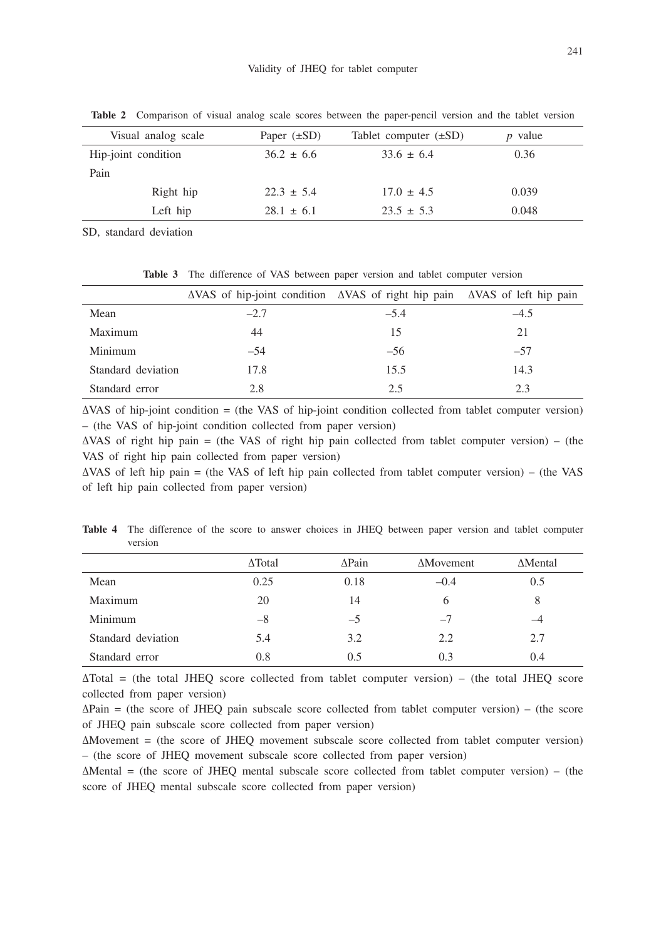| Visual analog scale |           | Paper $(\pm SD)$ | Tablet computer $(\pm SD)$ | $p$ value |
|---------------------|-----------|------------------|----------------------------|-----------|
| Hip-joint condition |           | $36.2 \pm 6.6$   | $33.6 \pm 6.4$             | 0.36      |
| Pain                |           |                  |                            |           |
|                     | Right hip | $22.3 \pm 5.4$   | $17.0 \pm 4.5$             | 0.039     |
|                     | Left hip  | $28.1 \pm 6.1$   | $23.5 \pm 5.3$             | 0.048     |

**Table 2** Comparison of visual analog scale scores between the paper-pencil version and the tablet version

SD, standard deviation

|                    | $\triangle$ VAS of hip-joint condition $\triangle$ VAS of right hip pain $\triangle$ VAS of left hip pain |        |        |
|--------------------|-----------------------------------------------------------------------------------------------------------|--------|--------|
| Mean               | $-2.7$                                                                                                    | $-5.4$ | $-4.5$ |
| Maximum            | 44                                                                                                        | 15     | 21     |
| Minimum            | $-54$                                                                                                     | $-56$  | $-57$  |
| Standard deviation | 17.8                                                                                                      | 15.5   | 14.3   |
| Standard error     | 2.8                                                                                                       | 2.5    | 2.3    |

**Table 3** The difference of VAS between paper version and tablet computer version

∆VAS of hip-joint condition = (the VAS of hip-joint condition collected from tablet computer version) – (the VAS of hip-joint condition collected from paper version)

 $\Delta$ VAS of right hip pain = (the VAS of right hip pain collected from tablet computer version) – (the VAS of right hip pain collected from paper version)

∆VAS of left hip pain = (the VAS of left hip pain collected from tablet computer version) – (the VAS of left hip pain collected from paper version)

**Table 4** The difference of the score to answer choices in JHEQ between paper version and tablet computer version

|                    | $\Delta$ Total | $\triangle$ Pain | <b>AMovement</b> | $\Delta$ Mental |
|--------------------|----------------|------------------|------------------|-----------------|
| Mean               | 0.25           | 0.18             | $-0.4$           | 0.5             |
| Maximum            | 20             | 14               | <sub>b</sub>     | 8               |
| Minimum            | $-8$           | $-5$             | $-7$             |                 |
| Standard deviation | 5.4            | 3.2              | 2.2              | 2.7             |
| Standard error     | 0.8            | 0.5              | 0.3              | 0.4             |

∆Total = (the total JHEQ score collected from tablet computer version) – (the total JHEQ score collected from paper version)

∆Pain = (the score of JHEQ pain subscale score collected from tablet computer version) – (the score of JHEQ pain subscale score collected from paper version)

∆Movement = (the score of JHEQ movement subscale score collected from tablet computer version) – (the score of JHEQ movement subscale score collected from paper version)

∆Mental = (the score of JHEQ mental subscale score collected from tablet computer version) – (the score of JHEQ mental subscale score collected from paper version)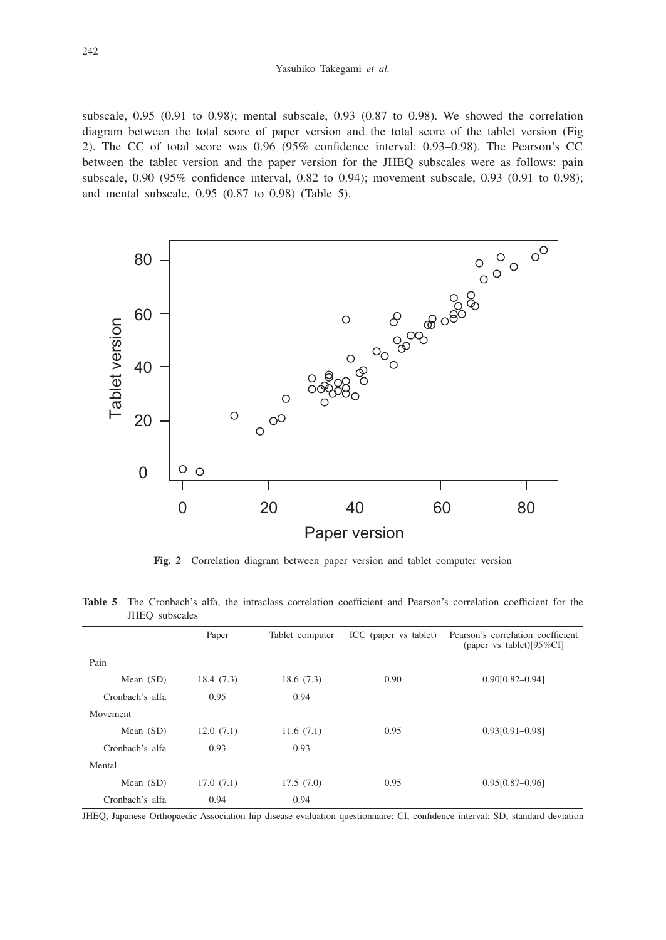subscale, 0.95 (0.91 to 0.98); mental subscale, 0.93 (0.87 to 0.98). We showed the correlation diagram between the total score of paper version and the total score of the tablet version (Fig 2). The CC of total score was 0.96 (95% confidence interval: 0.93–0.98). The Pearson's CC between the tablet version and the paper version for the JHEQ subscales were as follows: pain subscale, 0.90 (95% confidence interval, 0.82 to 0.94); movement subscale, 0.93 (0.91 to 0.98); and mental subscale, 0.95 (0.87 to 0.98) (Table 5).



**Fig. 2** Correlation diagram between paper version and tablet computer version

**Table 5** The Cronbach's alfa, the intraclass correlation coefficient and Pearson's correlation coefficient for the JHEQ subscales

|                 | Paper     | Tablet computer | ICC (paper vs tablet) | Pearson's correlation coefficient<br>(paper vs tablet) $[95\%CI]$ |
|-----------------|-----------|-----------------|-----------------------|-------------------------------------------------------------------|
| Pain            |           |                 |                       |                                                                   |
| Mean $(SD)$     | 18.4(7.3) | 18.6(7.3)       | 0.90                  | $0.90[0.82 - 0.94]$                                               |
| Cronbach's alfa | 0.95      | 0.94            |                       |                                                                   |
| Movement        |           |                 |                       |                                                                   |
| Mean (SD)       | 12.0(7.1) | 11.6(7.1)       | 0.95                  | $0.93[0.91 - 0.98]$                                               |
| Cronbach's alfa | 0.93      | 0.93            |                       |                                                                   |
| Mental          |           |                 |                       |                                                                   |
| Mean (SD)       | 17.0(7.1) | 17.5(7.0)       | 0.95                  | $0.95[0.87-0.96]$                                                 |
| Cronbach's alfa | 0.94      | 0.94            |                       |                                                                   |

JHEQ, Japanese Orthopaedic Association hip disease evaluation questionnaire; CI, confidence interval; SD, standard deviation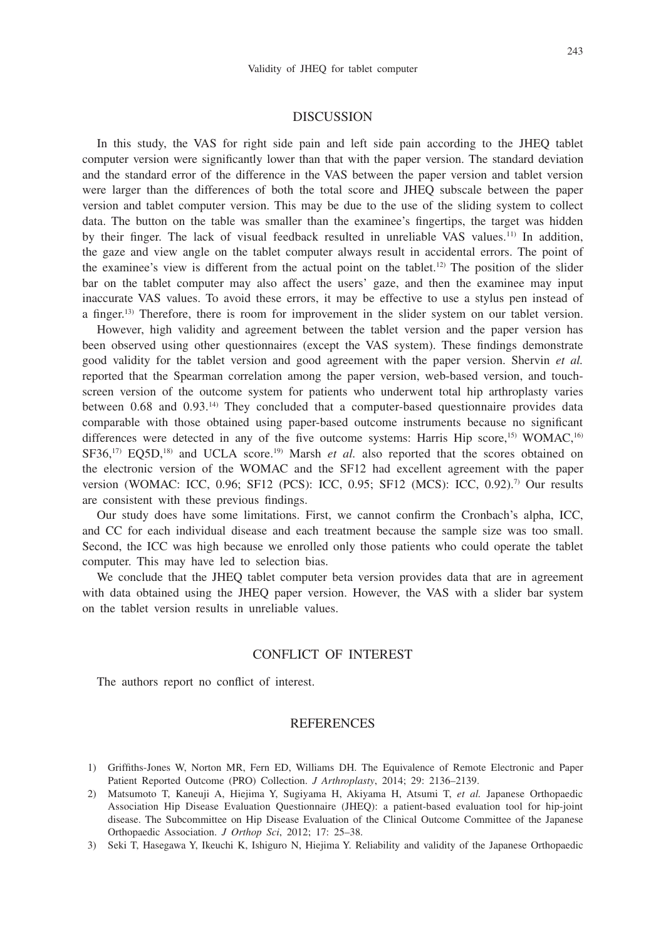#### DISCUSSION

In this study, the VAS for right side pain and left side pain according to the JHEQ tablet computer version were significantly lower than that with the paper version. The standard deviation and the standard error of the difference in the VAS between the paper version and tablet version were larger than the differences of both the total score and JHEQ subscale between the paper version and tablet computer version. This may be due to the use of the sliding system to collect data. The button on the table was smaller than the examinee's fingertips, the target was hidden by their finger. The lack of visual feedback resulted in unreliable VAS values.11) In addition, the gaze and view angle on the tablet computer always result in accidental errors. The point of the examinee's view is different from the actual point on the tablet.<sup>12)</sup> The position of the slider bar on the tablet computer may also affect the users' gaze, and then the examinee may input inaccurate VAS values. To avoid these errors, it may be effective to use a stylus pen instead of a finger.<sup>13)</sup> Therefore, there is room for improvement in the slider system on our tablet version.

However, high validity and agreement between the tablet version and the paper version has been observed using other questionnaires (except the VAS system). These findings demonstrate good validity for the tablet version and good agreement with the paper version. Shervin *et al.* reported that the Spearman correlation among the paper version, web-based version, and touchscreen version of the outcome system for patients who underwent total hip arthroplasty varies between 0.68 and 0.93.14) They concluded that a computer-based questionnaire provides data comparable with those obtained using paper-based outcome instruments because no significant differences were detected in any of the five outcome systems: Harris Hip score,<sup>15)</sup> WOMAC,<sup>16)</sup>  $SFS6$ ,<sup>17)</sup> EQ5D,<sup>18)</sup> and UCLA score.<sup>19)</sup> Marsh *et al.* also reported that the scores obtained on the electronic version of the WOMAC and the SF12 had excellent agreement with the paper version (WOMAC: ICC, 0.96; SF12 (PCS): ICC, 0.95; SF12 (MCS): ICC, 0.92).7) Our results are consistent with these previous findings.

Our study does have some limitations. First, we cannot confirm the Cronbach's alpha, ICC, and CC for each individual disease and each treatment because the sample size was too small. Second, the ICC was high because we enrolled only those patients who could operate the tablet computer. This may have led to selection bias.

We conclude that the JHEQ tablet computer beta version provides data that are in agreement with data obtained using the JHEQ paper version. However, the VAS with a slider bar system on the tablet version results in unreliable values.

# CONFLICT OF INTEREST

The authors report no conflict of interest.

#### REFERENCES

- 1) Griffiths-Jones W, Norton MR, Fern ED, Williams DH. The Equivalence of Remote Electronic and Paper Patient Reported Outcome (PRO) Collection. *J Arthroplasty*, 2014; 29: 2136–2139.
- 2) Matsumoto T, Kaneuji A, Hiejima Y, Sugiyama H, Akiyama H, Atsumi T, *et al.* Japanese Orthopaedic Association Hip Disease Evaluation Questionnaire (JHEQ): a patient-based evaluation tool for hip-joint disease. The Subcommittee on Hip Disease Evaluation of the Clinical Outcome Committee of the Japanese Orthopaedic Association. *J Orthop Sci*, 2012; 17: 25–38.
- 3) Seki T, Hasegawa Y, Ikeuchi K, Ishiguro N, Hiejima Y. Reliability and validity of the Japanese Orthopaedic